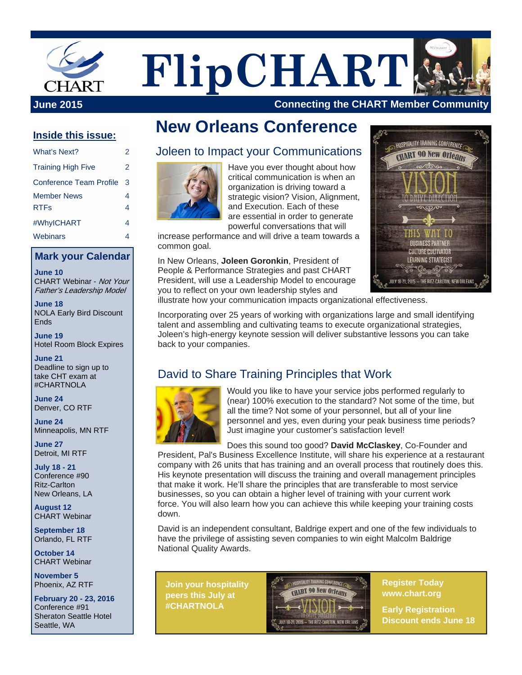

**FlipCHART**

**June 2015 Connecting the CHART Member Community** 

#### **Inside this issue:**

| What's Next?                      | 2      |
|-----------------------------------|--------|
| <b>Training High Five</b>         | 2      |
| Conference Team Profile           | 3      |
| <b>Member News</b><br><b>RTFs</b> | 4<br>4 |
| #WhyICHART                        | 4      |
| Webinars                          | 4      |

#### **Mark your Calendar**

**June 10**  CHART Webinar - Not Your Father's Leadership Model

**June 18**  NOLA Early Bird Discount Ends

**June 19**  Hotel Room Block Expires

**June 21**  Deadline to sign up to take CHT exam at #CHARTNOLA

**June 24**  Denver, CO RTF

**June 24**  Minneapolis, MN RTF

**June 27**  Detroit, MI RTF

**July 18 - 21**  Conference #90 Ritz-Carlton New Orleans, LA

**August 12**  CHART Webinar

**September 18**  Orlando, FL RTF

**October 14**  CHART Webinar

**November 5**  Phoenix, AZ RTF

**February 20 - 23, 2016**  Conference #91 Sheraton Seattle Hotel Seattle, WA

# **New Orleans Conference**

### Joleen to Impact your Communications



Have you ever thought about how critical communication is when an organization is driving toward a strategic vision? Vision, Alignment, and Execution. Each of these are essential in order to generate powerful conversations that will

increase performance and will drive a team towards a common goal.

In New Orleans, **Joleen Goronkin**, President of People & Performance Strategies and past CHART President, will use a Leadership Model to encourage you to reflect on your own leadership styles and



illustrate how your communication impacts organizational effectiveness.

Incorporating over 25 years of working with organizations large and small identifying talent and assembling and cultivating teams to execute organizational strategies, Joleen's high-energy keynote session will deliver substantive lessons you can take back to your companies.

## David to Share Training Principles that Work



Would you like to have your service jobs performed regularly to (near) 100% execution to the standard? Not some of the time, but all the time? Not some of your personnel, but all of your line personnel and yes, even during your peak business time periods? Just imagine your customer's satisfaction level!

Does this sound too good? **David McClaskey**, Co-Founder and

President, Pal's Business Excellence Institute, will share his experience at a restaurant company with 26 units that has training and an overall process that routinely does this. His keynote presentation will discuss the training and overall management principles that make it work. He'll share the principles that are transferable to most service businesses, so you can obtain a higher level of training with your current work force. You will also learn how you can achieve this while keeping your training costs down.

David is an independent consultant, Baldrige expert and one of the few individuals to have the privilege of assisting seven companies to win eight Malcolm Baldrige National Quality Awards.

**Join your hospitality peers this July at #CHARTNOLA**



**Register Today www.chart.org** 

**Early Registration Discount ends June 18**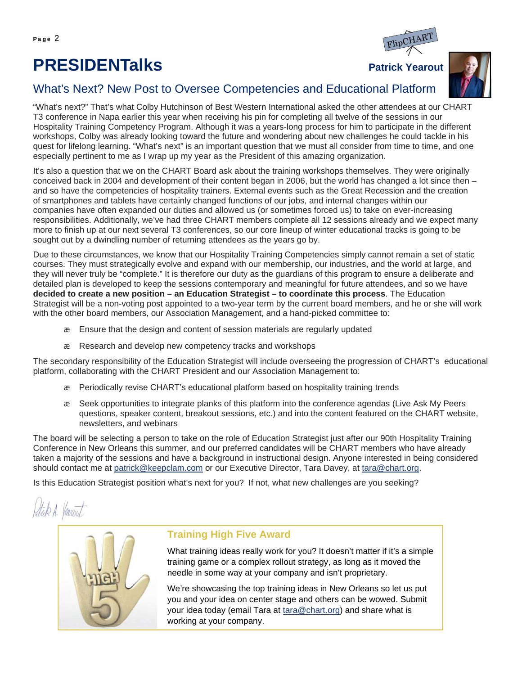# **PRESIDENTalks** Patrick Yearout





#### What's Next? New Post to Oversee Competencies and Educational Platform

"What's next?" That's what Colby Hutchinson of Best Western International asked the other attendees at our CHART T3 conference in Napa earlier this year when receiving his pin for completing all twelve of the sessions in our Hospitality Training Competency Program. Although it was a years-long process for him to participate in the different workshops, Colby was already looking toward the future and wondering about new challenges he could tackle in his quest for lifelong learning. "What's next" is an important question that we must all consider from time to time, and one especially pertinent to me as I wrap up my year as the President of this amazing organization.

It's also a question that we on the CHART Board ask about the training workshops themselves. They were originally conceived back in 2004 and development of their content began in 2006, but the world has changed a lot since then – and so have the competencies of hospitality trainers. External events such as the Great Recession and the creation of smartphones and tablets have certainly changed functions of our jobs, and internal changes within our companies have often expanded our duties and allowed us (or sometimes forced us) to take on ever-increasing responsibilities. Additionally, we've had three CHART members complete all 12 sessions already and we expect many more to finish up at our next several T3 conferences, so our core lineup of winter educational tracks is going to be sought out by a dwindling number of returning attendees as the years go by.

Due to these circumstances, we know that our Hospitality Training Competencies simply cannot remain a set of static courses. They must strategically evolve and expand with our membership, our industries, and the world at large, and they will never truly be "complete." It is therefore our duty as the guardians of this program to ensure a deliberate and detailed plan is developed to keep the sessions contemporary and meaningful for future attendees, and so we have **decided to create a new position – an Education Strategist – to coordinate this process**. The Education Strategist will be a non-voting post appointed to a two-year term by the current board members, and he or she will work with the other board members, our Association Management, and a hand-picked committee to:

- Ensure that the design and content of session materials are regularly updated
- Research and develop new competency tracks and workshops

The secondary responsibility of the Education Strategist will include overseeing the progression of CHART's educational platform, collaborating with the CHART President and our Association Management to:

- Periodically revise CHART's educational platform based on hospitality training trends
- Seek opportunities to integrate planks of this platform into the conference agendas (Live Ask My Peers questions, speaker content, breakout sessions, etc.) and into the content featured on the CHART website, newsletters, and webinars

The board will be selecting a person to take on the role of Education Strategist just after our 90th Hospitality Training Conference in New Orleans this summer, and our preferred candidates will be CHART members who have already taken a majority of the sessions and have a background in instructional design. Anyone interested in being considered should contact me at patrick@keepclam.com or our Executive Director, Tara Davey, at tara@chart.org.

Is this Education Strategist position what's next for you? If not, what new challenges are you seeking?

Stup A. Verviert



#### **Training High Five Award**

What training ideas really work for you? It doesn't matter if it's a simple training game or a complex rollout strategy, as long as it moved the needle in some way at your company and isn't proprietary.

We're showcasing the top training ideas in New Orleans so let us put you and your idea on center stage and others can be wowed. Submit your idea today (email Tara at tara@chart.org) and share what is working at your company.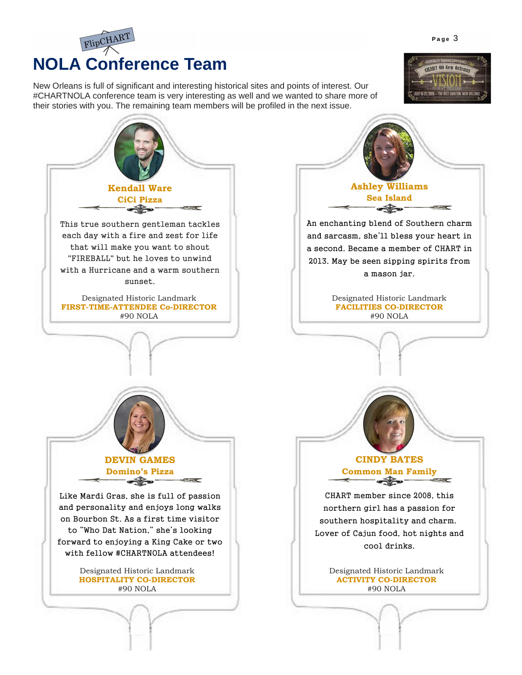